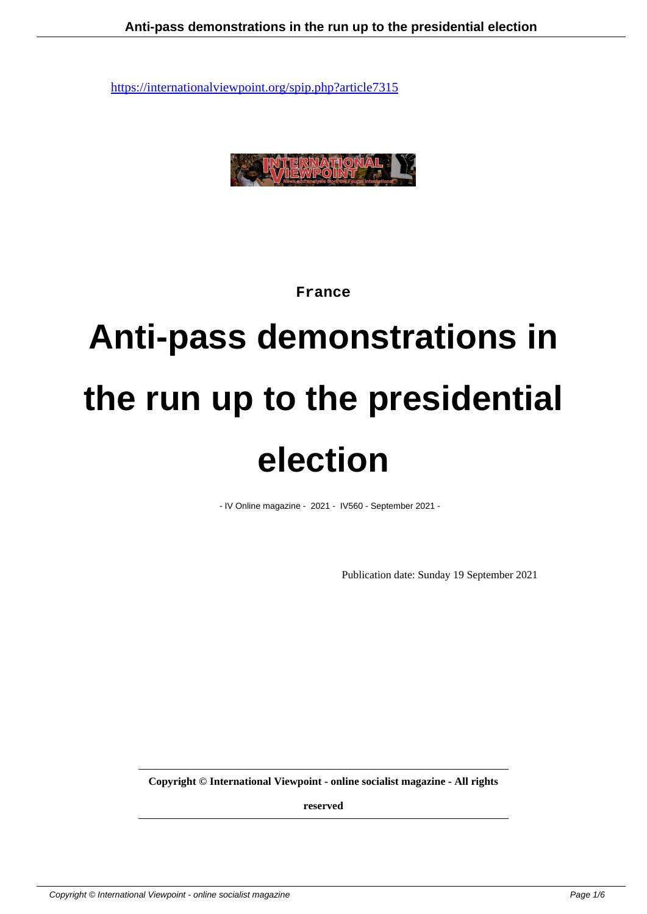

**France**

# **Anti-pass demonstrations in the run up to the presidential election**

- IV Online magazine - 2021 - IV560 - September 2021 -

Publication date: Sunday 19 September 2021

**Copyright © International Viewpoint - online socialist magazine - All rights**

**reserved**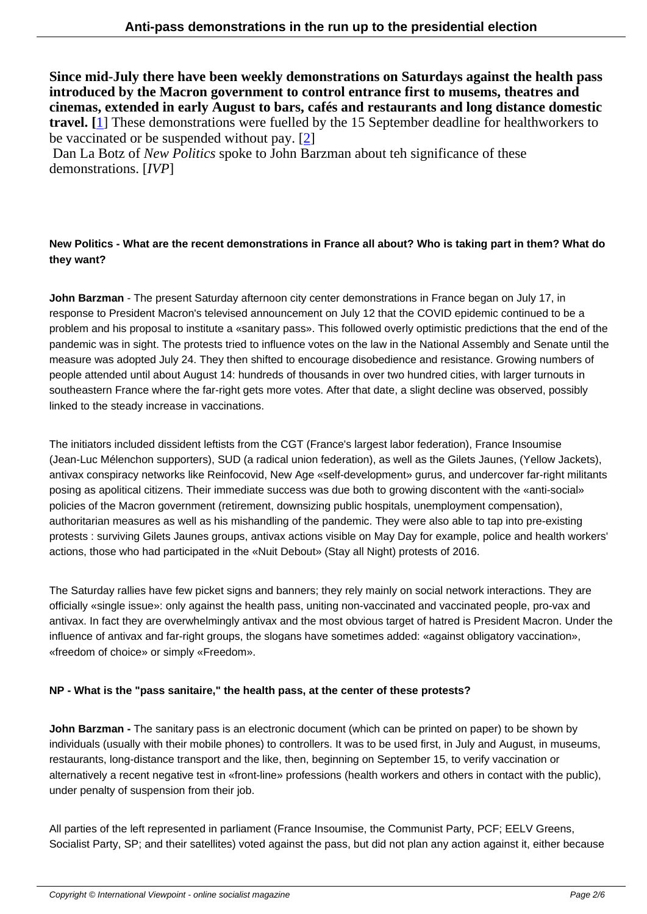**Since mid-July there have been weekly demonstrations on Saturdays against the health pass introduced by the Macron government to control entrance first to musems, theatres and cinemas, extended in early August to bars, cafés and restaurants and long distance domestic travel. [**1] These demonstrations were fuelled by the 15 September deadline for healthworkers to be vaccinated or be suspended without pay. [2]

 Dan La Botz of *New Politics* spoke to John Barzman about teh significance of these demons[tra](#nb1)tions. [*IVP*]

## **New Politics - What are the recent demonstrations in France all about? Who is taking part in them? What do they want?**

**John Barzman** - The present Saturday afternoon city center demonstrations in France began on July 17, in response to President Macron's televised announcement on July 12 that the COVID epidemic continued to be a problem and his proposal to institute a «sanitary pass». This followed overly optimistic predictions that the end of the pandemic was in sight. The protests tried to influence votes on the law in the National Assembly and Senate until the measure was adopted July 24. They then shifted to encourage disobedience and resistance. Growing numbers of people attended until about August 14: hundreds of thousands in over two hundred cities, with larger turnouts in southeastern France where the far-right gets more votes. After that date, a slight decline was observed, possibly linked to the steady increase in vaccinations.

The initiators included dissident leftists from the CGT (France's largest labor federation), France Insoumise (Jean-Luc Mélenchon supporters), SUD (a radical union federation), as well as the Gilets Jaunes, (Yellow Jackets), antivax conspiracy networks like Reinfocovid, New Age «self-development» gurus, and undercover far-right militants posing as apolitical citizens. Their immediate success was due both to growing discontent with the «anti-social» policies of the Macron government (retirement, downsizing public hospitals, unemployment compensation), authoritarian measures as well as his mishandling of the pandemic. They were also able to tap into pre-existing protests : surviving Gilets Jaunes groups, antivax actions visible on May Day for example, police and health workers' actions, those who had participated in the «Nuit Debout» (Stay all Night) protests of 2016.

The Saturday rallies have few picket signs and banners; they rely mainly on social network interactions. They are officially «single issue»: only against the health pass, uniting non-vaccinated and vaccinated people, pro-vax and antivax. In fact they are overwhelmingly antivax and the most obvious target of hatred is President Macron. Under the influence of antivax and far-right groups, the slogans have sometimes added: «against obligatory vaccination», «freedom of choice» or simply «Freedom».

### **NP - What is the "pass sanitaire," the health pass, at the center of these protests?**

**John Barzman -** The sanitary pass is an electronic document (which can be printed on paper) to be shown by individuals (usually with their mobile phones) to controllers. It was to be used first, in July and August, in museums, restaurants, long-distance transport and the like, then, beginning on September 15, to verify vaccination or alternatively a recent negative test in «front-line» professions (health workers and others in contact with the public), under penalty of suspension from their job.

All parties of the left represented in parliament (France Insoumise, the Communist Party, PCF; EELV Greens, Socialist Party, SP; and their satellites) voted against the pass, but did not plan any action against it, either because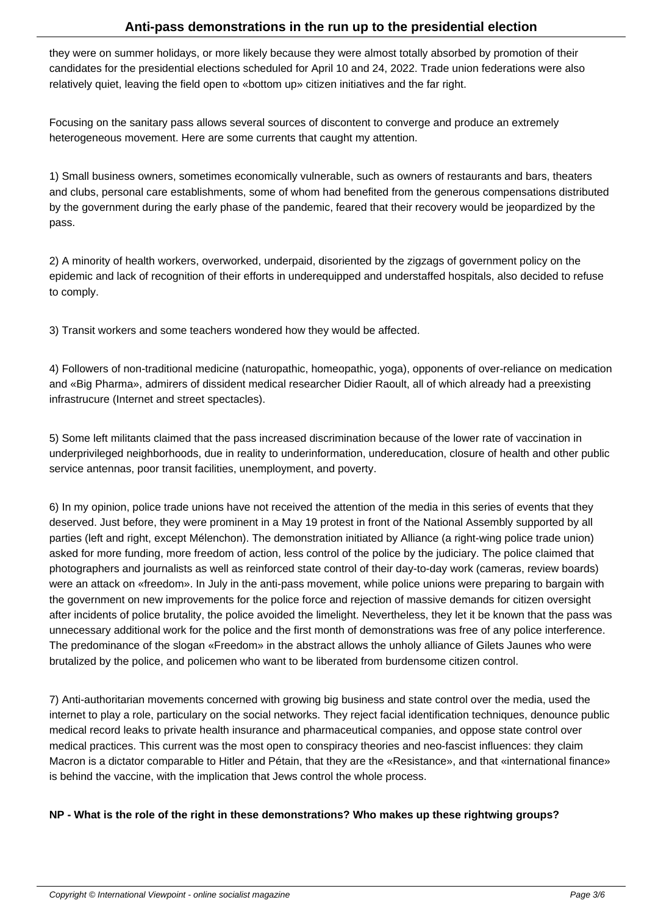they were on summer holidays, or more likely because they were almost totally absorbed by promotion of their candidates for the presidential elections scheduled for April 10 and 24, 2022. Trade union federations were also relatively quiet, leaving the field open to «bottom up» citizen initiatives and the far right.

Focusing on the sanitary pass allows several sources of discontent to converge and produce an extremely heterogeneous movement. Here are some currents that caught my attention.

1) Small business owners, sometimes economically vulnerable, such as owners of restaurants and bars, theaters and clubs, personal care establishments, some of whom had benefited from the generous compensations distributed by the government during the early phase of the pandemic, feared that their recovery would be jeopardized by the pass.

2) A minority of health workers, overworked, underpaid, disoriented by the zigzags of government policy on the epidemic and lack of recognition of their efforts in underequipped and understaffed hospitals, also decided to refuse to comply.

3) Transit workers and some teachers wondered how they would be affected.

4) Followers of non-traditional medicine (naturopathic, homeopathic, yoga), opponents of over-reliance on medication and «Big Pharma», admirers of dissident medical researcher Didier Raoult, all of which already had a preexisting infrastrucure (Internet and street spectacles).

5) Some left militants claimed that the pass increased discrimination because of the lower rate of vaccination in underprivileged neighborhoods, due in reality to underinformation, undereducation, closure of health and other public service antennas, poor transit facilities, unemployment, and poverty.

6) In my opinion, police trade unions have not received the attention of the media in this series of events that they deserved. Just before, they were prominent in a May 19 protest in front of the National Assembly supported by all parties (left and right, except Mélenchon). The demonstration initiated by Alliance (a right-wing police trade union) asked for more funding, more freedom of action, less control of the police by the judiciary. The police claimed that photographers and journalists as well as reinforced state control of their day-to-day work (cameras, review boards) were an attack on «freedom». In July in the anti-pass movement, while police unions were preparing to bargain with the government on new improvements for the police force and rejection of massive demands for citizen oversight after incidents of police brutality, the police avoided the limelight. Nevertheless, they let it be known that the pass was unnecessary additional work for the police and the first month of demonstrations was free of any police interference. The predominance of the slogan «Freedom» in the abstract allows the unholy alliance of Gilets Jaunes who were brutalized by the police, and policemen who want to be liberated from burdensome citizen control.

7) Anti-authoritarian movements concerned with growing big business and state control over the media, used the internet to play a role, particulary on the social networks. They reject facial identification techniques, denounce public medical record leaks to private health insurance and pharmaceutical companies, and oppose state control over medical practices. This current was the most open to conspiracy theories and neo-fascist influences: they claim Macron is a dictator comparable to Hitler and Pétain, that they are the «Resistance», and that «international finance» is behind the vaccine, with the implication that Jews control the whole process.

### **NP - What is the role of the right in these demonstrations? Who makes up these rightwing groups?**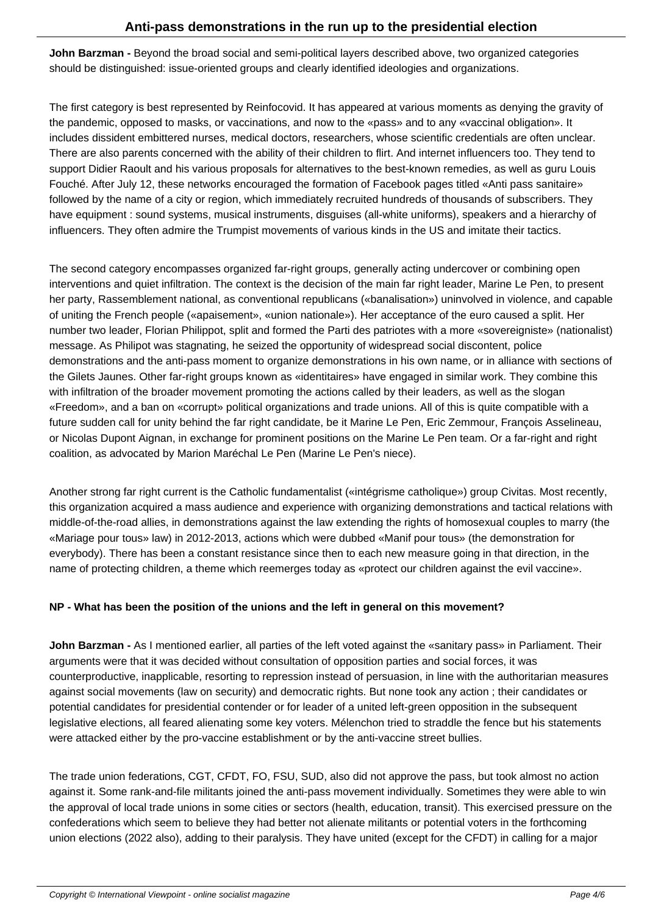**John Barzman -** Beyond the broad social and semi-political layers described above, two organized categories should be distinguished: issue-oriented groups and clearly identified ideologies and organizations.

The first category is best represented by Reinfocovid. It has appeared at various moments as denying the gravity of the pandemic, opposed to masks, or vaccinations, and now to the «pass» and to any «vaccinal obligation». It includes dissident embittered nurses, medical doctors, researchers, whose scientific credentials are often unclear. There are also parents concerned with the ability of their children to flirt. And internet influencers too. They tend to support Didier Raoult and his various proposals for alternatives to the best-known remedies, as well as guru Louis Fouché. After July 12, these networks encouraged the formation of Facebook pages titled «Anti pass sanitaire» followed by the name of a city or region, which immediately recruited hundreds of thousands of subscribers. They have equipment : sound systems, musical instruments, disguises (all-white uniforms), speakers and a hierarchy of influencers. They often admire the Trumpist movements of various kinds in the US and imitate their tactics.

The second category encompasses organized far-right groups, generally acting undercover or combining open interventions and quiet infiltration. The context is the decision of the main far right leader, Marine Le Pen, to present her party, Rassemblement national, as conventional republicans («banalisation») uninvolved in violence, and capable of uniting the French people («apaisement», «union nationale»). Her acceptance of the euro caused a split. Her number two leader, Florian Philippot, split and formed the Parti des patriotes with a more «sovereigniste» (nationalist) message. As Philipot was stagnating, he seized the opportunity of widespread social discontent, police demonstrations and the anti-pass moment to organize demonstrations in his own name, or in alliance with sections of the Gilets Jaunes. Other far-right groups known as «identitaires» have engaged in similar work. They combine this with infiltration of the broader movement promoting the actions called by their leaders, as well as the slogan «Freedom», and a ban on «corrupt» political organizations and trade unions. All of this is quite compatible with a future sudden call for unity behind the far right candidate, be it Marine Le Pen, Eric Zemmour, François Asselineau, or Nicolas Dupont Aignan, in exchange for prominent positions on the Marine Le Pen team. Or a far-right and right coalition, as advocated by Marion Maréchal Le Pen (Marine Le Pen's niece).

Another strong far right current is the Catholic fundamentalist («intégrisme catholique») group Civitas. Most recently, this organization acquired a mass audience and experience with organizing demonstrations and tactical relations with middle-of-the-road allies, in demonstrations against the law extending the rights of homosexual couples to marry (the «Mariage pour tous» law) in 2012-2013, actions which were dubbed «Manif pour tous» (the demonstration for everybody). There has been a constant resistance since then to each new measure going in that direction, in the name of protecting children, a theme which reemerges today as «protect our children against the evil vaccine».

### **NP - What has been the position of the unions and the left in general on this movement?**

**John Barzman -** As I mentioned earlier, all parties of the left voted against the «sanitary pass» in Parliament. Their arguments were that it was decided without consultation of opposition parties and social forces, it was counterproductive, inapplicable, resorting to repression instead of persuasion, in line with the authoritarian measures against social movements (law on security) and democratic rights. But none took any action ; their candidates or potential candidates for presidential contender or for leader of a united left-green opposition in the subsequent legislative elections, all feared alienating some key voters. Mélenchon tried to straddle the fence but his statements were attacked either by the pro-vaccine establishment or by the anti-vaccine street bullies.

The trade union federations, CGT, CFDT, FO, FSU, SUD, also did not approve the pass, but took almost no action against it. Some rank-and-file militants joined the anti-pass movement individually. Sometimes they were able to win the approval of local trade unions in some cities or sectors (health, education, transit). This exercised pressure on the confederations which seem to believe they had better not alienate militants or potential voters in the forthcoming union elections (2022 also), adding to their paralysis. They have united (except for the CFDT) in calling for a major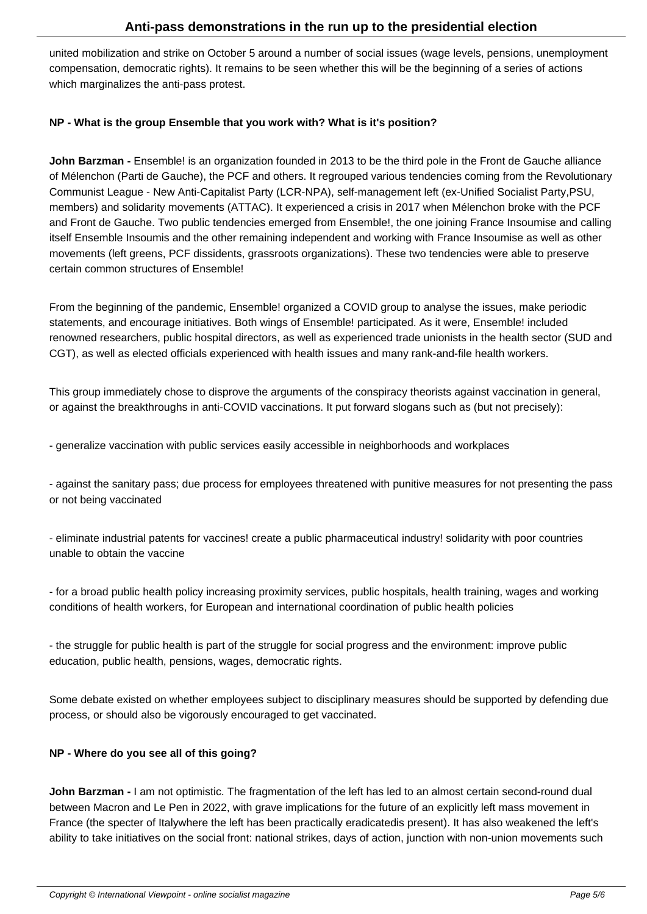united mobilization and strike on October 5 around a number of social issues (wage levels, pensions, unemployment compensation, democratic rights). It remains to be seen whether this will be the beginning of a series of actions which marginalizes the anti-pass protest.

#### **NP - What is the group Ensemble that you work with? What is it's position?**

**John Barzman -** Ensemble! is an organization founded in 2013 to be the third pole in the Front de Gauche alliance of Mélenchon (Parti de Gauche), the PCF and others. It regrouped various tendencies coming from the Revolutionary Communist League - New Anti-Capitalist Party (LCR-NPA), self-management left (ex-Unified Socialist Party,PSU, members) and solidarity movements (ATTAC). It experienced a crisis in 2017 when Mélenchon broke with the PCF and Front de Gauche. Two public tendencies emerged from Ensemble!, the one joining France Insoumise and calling itself Ensemble Insoumis and the other remaining independent and working with France Insoumise as well as other movements (left greens, PCF dissidents, grassroots organizations). These two tendencies were able to preserve certain common structures of Ensemble!

From the beginning of the pandemic, Ensemble! organized a COVID group to analyse the issues, make periodic statements, and encourage initiatives. Both wings of Ensemble! participated. As it were, Ensemble! included renowned researchers, public hospital directors, as well as experienced trade unionists in the health sector (SUD and CGT), as well as elected officials experienced with health issues and many rank-and-file health workers.

This group immediately chose to disprove the arguments of the conspiracy theorists against vaccination in general, or against the breakthroughs in anti-COVID vaccinations. It put forward slogans such as (but not precisely):

- generalize vaccination with public services easily accessible in neighborhoods and workplaces

- against the sanitary pass; due process for employees threatened with punitive measures for not presenting the pass or not being vaccinated

- eliminate industrial patents for vaccines! create a public pharmaceutical industry! solidarity with poor countries unable to obtain the vaccine

- for a broad public health policy increasing proximity services, public hospitals, health training, wages and working conditions of health workers, for European and international coordination of public health policies

- the struggle for public health is part of the struggle for social progress and the environment: improve public education, public health, pensions, wages, democratic rights.

Some debate existed on whether employees subject to disciplinary measures should be supported by defending due process, or should also be vigorously encouraged to get vaccinated.

### **NP - Where do you see all of this going?**

**John Barzman -** I am not optimistic. The fragmentation of the left has led to an almost certain second-round dual between Macron and Le Pen in 2022, with grave implications for the future of an explicitly left mass movement in France (the specter of Italy where the left has been practically eradicated is present). It has also weakened the left's ability to take initiatives on the social front: national strikes, days of action, junction with non-union movements such